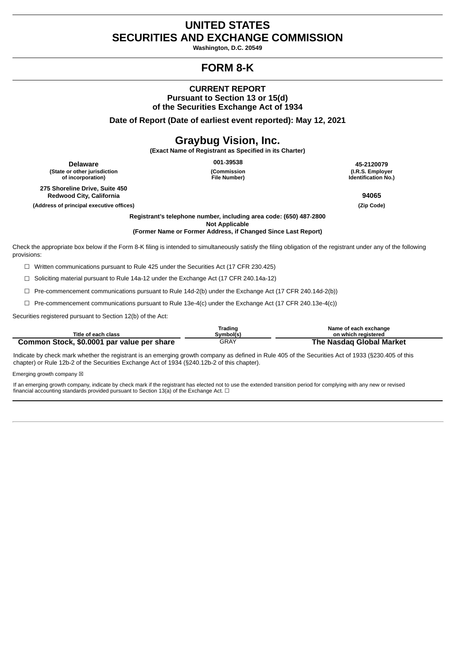# **UNITED STATES SECURITIES AND EXCHANGE COMMISSION**

**Washington, D.C. 20549**

# **FORM 8-K**

# **CURRENT REPORT Pursuant to Section 13 or 15(d) of the Securities Exchange Act of 1934**

**Date of Report (Date of earliest event reported): May 12, 2021**

# **Graybug Vision, Inc.**

**(Exact Name of Registrant as Specified in its Charter)**

**Delaware (State or other jurisdiction of incorporation)**

**275 Shoreline Drive, Suite 450 Redwood City, California 94065**

**(Address of principal executive offices) (Zip Code)**

**(Commission File Number)**

**001‑39538 45-2120079 (I.R.S. Employer Identification No.)**

**Registrant's telephone number, including area code: (650) 487‑2800 Not Applicable (Former Name or Former Address, if Changed Since Last Report)**

Check the appropriate box below if the Form 8‑K filing is intended to simultaneously satisfy the filing obligation of the registrant under any of the following provisions:

☐ Written communications pursuant to Rule 425 under the Securities Act (17 CFR 230.425)

☐ Soliciting material pursuant to Rule 14a‑12 under the Exchange Act (17 CFR 240.14a‑12)

☐ Pre-commencement communications pursuant to Rule 14d-2(b) under the Exchange Act (17 CFR 240.14d-2(b))

☐ Pre-commencement communications pursuant to Rule 13e-4(c) under the Exchange Act (17 CFR 240.13e-4(c))

Securities registered pursuant to Section 12(b) of the Act:

|                                            | Trading   | Name of each exchange    |
|--------------------------------------------|-----------|--------------------------|
| Title of each class                        | Svmbol(s) | on which reaistered      |
| Common Stock, \$0.0001 par value per share | GRAY      | The Nasdag Global Market |

Indicate by check mark whether the registrant is an emerging growth company as defined in Rule 405 of the Securities Act of 1933 (§230.405 of this chapter) or Rule 12b-2 of the Securities Exchange Act of 1934 (§240.12b-2 of this chapter).

Emerging growth company  $\boxtimes$ 

If an emerging growth company, indicate by check mark if the registrant has elected not to use the extended transition period for complying with any new or revised financial accounting standards provided pursuant to Section 13(a) of the Exchange Act.  $\Box$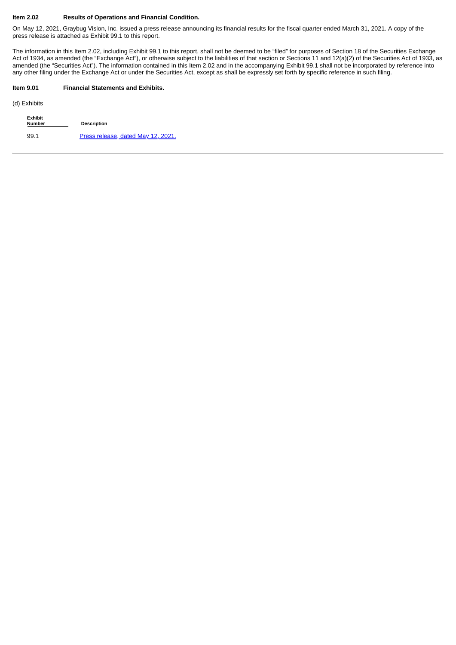#### **Item 2.02 Results of Operations and Financial Condition.**

On May 12, 2021, Graybug Vision, Inc. issued a press release announcing its financial results for the fiscal quarter ended March 31, 2021. A copy of the press release is attached as Exhibit 99.1 to this report.

The information in this Item 2.02, including Exhibit 99.1 to this report, shall not be deemed to be "filed" for purposes of Section 18 of the Securities Exchange Act of 1934, as amended (the "Exchange Act"), or otherwise subject to the liabilities of that section or Sections 11 and 12(a)(2) of the Securities Act of 1933, as amended (the "Securities Act"). The information contained in this Item 2.02 and in the accompanying Exhibit 99.1 shall not be incorporated by reference into any other filing under the Exchange Act or under the Securities Act, except as shall be expressly set forth by specific reference in such filing.

#### **Item 9.01 Financial Statements and Exhibits.**

(d) Exhibits

| <b>Exhibit</b><br><b>Number</b> | <b>Description</b>                 |
|---------------------------------|------------------------------------|
| 99.1                            | Press release, dated May 12, 2021. |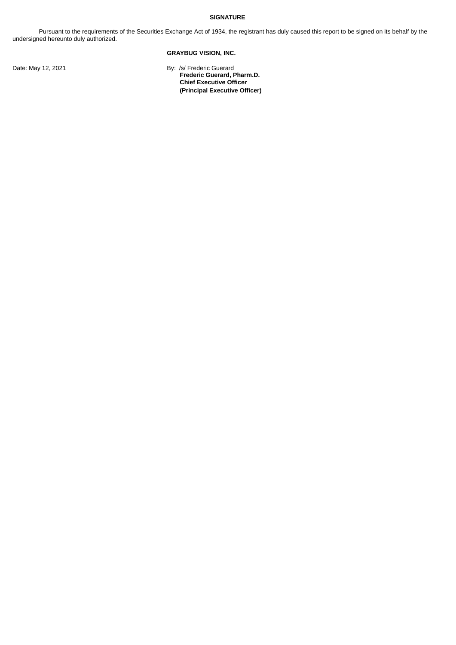#### **SIGNATURE**

Pursuant to the requirements of the Securities Exchange Act of 1934, the registrant has duly caused this report to be signed on its behalf by the undersigned hereunto duly authorized.

# **GRAYBUG VISION, INC.**

Date: May 12, 2021 **By:** /s/ Frederic Guerard

**Frederic Guerard, Pharm.D. Chief Executive Officer (Principal Executive Officer)**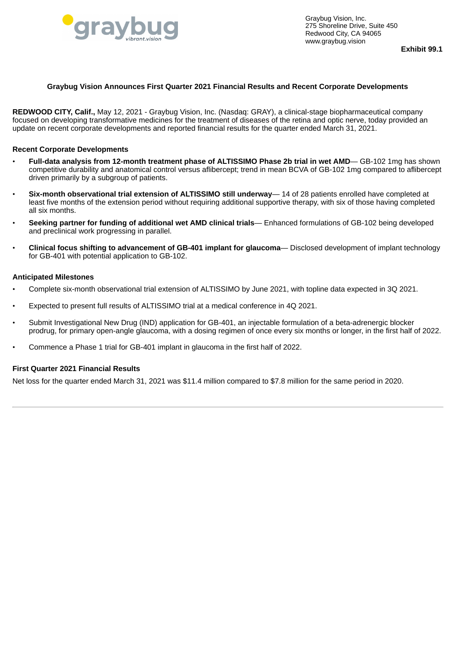<span id="page-3-0"></span>

Graybug Vision, Inc. 275 Shoreline Drive, Suite 450 Redwood City, CA 94065 www.graybug.vision

**Exhibit 99.1**

### **Graybug Vision Announces First Quarter 2021 Financial Results and Recent Corporate Developments**

**REDWOOD CITY, Calif.,** May 12, 2021 - Graybug Vision, Inc. (Nasdaq: GRAY), a clinical-stage biopharmaceutical company focused on developing transformative medicines for the treatment of diseases of the retina and optic nerve, today provided an update on recent corporate developments and reported financial results for the quarter ended March 31, 2021.

## **Recent Corporate Developments**

- **Full-data analysis from 12-month treatment phase of ALTISSIMO Phase 2b trial in wet AMD** GB-102 1mg has shown competitive durability and anatomical control versus aflibercept; trend in mean BCVA of GB-102 1mg compared to aflibercept driven primarily by a subgroup of patients.
- **Six-month observational trial extension of ALTISSIMO still underway** 14 of 28 patients enrolled have completed at least five months of the extension period without requiring additional supportive therapy, with six of those having completed all six months.
- **Seeking partner for funding of additional wet AMD clinical trials** Enhanced formulations of GB-102 being developed and preclinical work progressing in parallel.
- **Clinical focus shifting to advancement of GB-401 implant for glaucoma** Disclosed development of implant technology for GB-401 with potential application to GB-102.

#### **Anticipated Milestones**

- Complete six-month observational trial extension of ALTISSIMO by June 2021, with topline data expected in 3Q 2021.
- Expected to present full results of ALTISSIMO trial at a medical conference in 4Q 2021.
- Submit Investigational New Drug (IND) application for GB-401, an injectable formulation of a beta-adrenergic blocker prodrug, for primary open-angle glaucoma, with a dosing regimen of once every six months or longer, in the first half of 2022.
- Commence a Phase 1 trial for GB-401 implant in glaucoma in the first half of 2022.

## **First Quarter 2021 Financial Results**

Net loss for the quarter ended March 31, 2021 was \$11.4 million compared to \$7.8 million for the same period in 2020.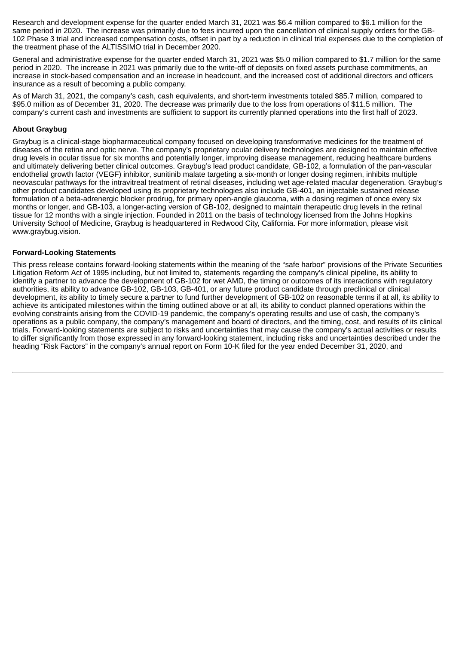Research and development expense for the quarter ended March 31, 2021 was \$6.4 million compared to \$6.1 million for the same period in 2020. The increase was primarily due to fees incurred upon the cancellation of clinical supply orders for the GB-102 Phase 3 trial and increased compensation costs, offset in part by a reduction in clinical trial expenses due to the completion of the treatment phase of the ALTISSIMO trial in December 2020.

General and administrative expense for the quarter ended March 31, 2021 was \$5.0 million compared to \$1.7 million for the same period in 2020. The increase in 2021 was primarily due to the write-off of deposits on fixed assets purchase commitments, an increase in stock-based compensation and an increase in headcount, and the increased cost of additional directors and officers insurance as a result of becoming a public company.

As of March 31, 2021, the company's cash, cash equivalents, and short-term investments totaled \$85.7 million, compared to \$95.0 million as of December 31, 2020. The decrease was primarily due to the loss from operations of \$11.5 million. The company's current cash and investments are sufficient to support its currently planned operations into the first half of 2023.

# **About Graybug**

Graybug is a clinical-stage biopharmaceutical company focused on developing transformative medicines for the treatment of diseases of the retina and optic nerve. The company's proprietary ocular delivery technologies are designed to maintain effective drug levels in ocular tissue for six months and potentially longer, improving disease management, reducing healthcare burdens and ultimately delivering better clinical outcomes. Graybug's lead product candidate, GB-102, a formulation of the pan-vascular endothelial growth factor (VEGF) inhibitor, sunitinib malate targeting a six-month or longer dosing regimen, inhibits multiple neovascular pathways for the intravitreal treatment of retinal diseases, including wet age-related macular degeneration. Graybug's other product candidates developed using its proprietary technologies also include GB-401, an injectable sustained release formulation of a beta-adrenergic blocker prodrug, for primary open-angle glaucoma, with a dosing regimen of once every six months or longer, and GB-103, a longer-acting version of GB-102, designed to maintain therapeutic drug levels in the retinal tissue for 12 months with a single injection. Founded in 2011 on the basis of technology licensed from the Johns Hopkins University School of Medicine, Graybug is headquartered in Redwood City, California. For more information, please visit www.graybug.vision.

## **Forward-Looking Statements**

This press release contains forward-looking statements within the meaning of the "safe harbor" provisions of the Private Securities Litigation Reform Act of 1995 including, but not limited to, statements regarding the company's clinical pipeline, its ability to identify a partner to advance the development of GB-102 for wet AMD, the timing or outcomes of its interactions with regulatory authorities, its ability to advance GB-102, GB-103, GB-401, or any future product candidate through preclinical or clinical development, its ability to timely secure a partner to fund further development of GB-102 on reasonable terms if at all, its ability to achieve its anticipated milestones within the timing outlined above or at all, its ability to conduct planned operations within the evolving constraints arising from the COVID-19 pandemic, the company's operating results and use of cash, the company's operations as a public company, the company's management and board of directors, and the timing, cost, and results of its clinical trials. Forward-looking statements are subject to risks and uncertainties that may cause the company's actual activities or results to differ significantly from those expressed in any forward-looking statement, including risks and uncertainties described under the heading "Risk Factors" in the company's annual report on Form 10-K filed for the year ended December 31, 2020, and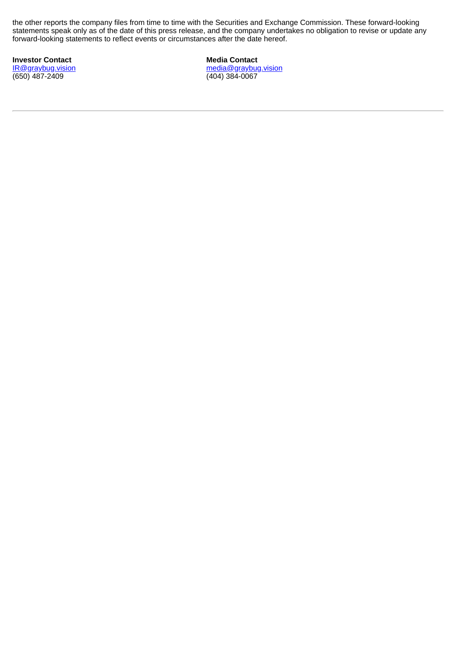the other reports the company files from time to time with the Securities and Exchange Commission. These forward-looking statements speak only as of the date of this press release, and the company undertakes no obligation to revise or update any forward-looking statements to reflect events or circumstances after the date hereof.

**Investor Contact** IR@graybug.vision (650) 487-2409

**Media Contact** media@graybug.vision (404) 384-0067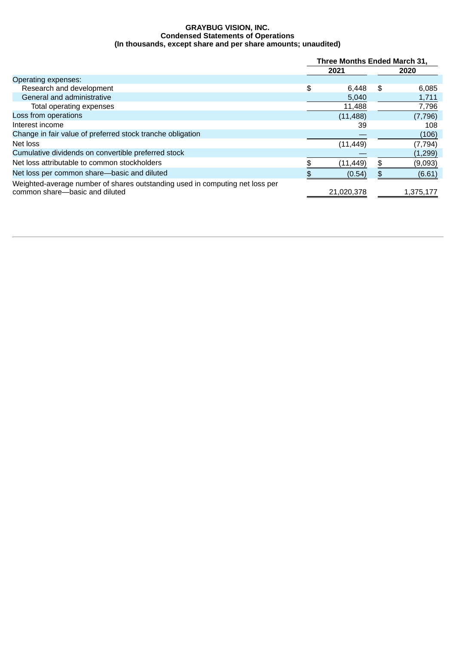### **GRAYBUG VISION, INC. Condensed Statements of Operations (In thousands, except share and per share amounts; unaudited)**

|                                                                                                                | Three Months Ended March 31, |            |      |           |
|----------------------------------------------------------------------------------------------------------------|------------------------------|------------|------|-----------|
|                                                                                                                | 2021                         |            | 2020 |           |
| Operating expenses:                                                                                            |                              |            |      |           |
| Research and development                                                                                       | \$                           | 6.448      | \$   | 6,085     |
| General and administrative                                                                                     |                              | 5,040      |      | 1,711     |
| Total operating expenses                                                                                       |                              | 11,488     |      | 7,796     |
| Loss from operations                                                                                           |                              | (11, 488)  |      | (7, 796)  |
| Interest income                                                                                                |                              | 39         |      | 108       |
| Change in fair value of preferred stock tranche obligation                                                     |                              |            |      | (106)     |
| Net loss                                                                                                       |                              | (11, 449)  |      | (7, 794)  |
| Cumulative dividends on convertible preferred stock                                                            |                              |            |      | (1, 299)  |
| Net loss attributable to common stockholders                                                                   |                              | (11, 449)  | \$.  | (9,093)   |
| Net loss per common share-basic and diluted                                                                    |                              | (0.54)     |      | (6.61)    |
| Weighted-average number of shares outstanding used in computing net loss per<br>common share-basic and diluted |                              | 21,020,378 |      | 1,375,177 |